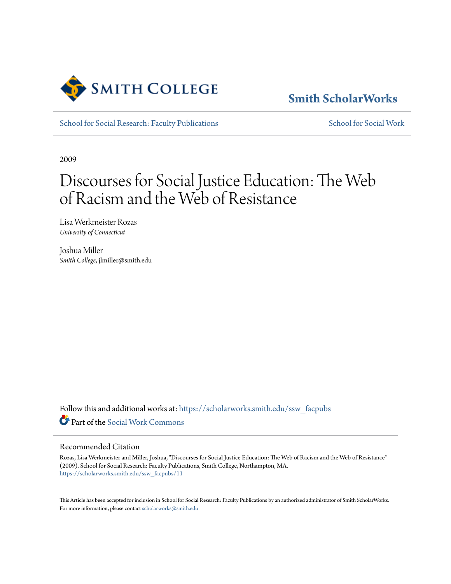

# **[Smith ScholarWorks](https://scholarworks.smith.edu/?utm_source=scholarworks.smith.edu%2Fssw_facpubs%2F11&utm_medium=PDF&utm_campaign=PDFCoverPages)**

[School for Social Research: Faculty Publications](https://scholarworks.smith.edu/ssw_facpubs?utm_source=scholarworks.smith.edu%2Fssw_facpubs%2F11&utm_medium=PDF&utm_campaign=PDFCoverPages) [School for Social Work](https://scholarworks.smith.edu/ssw?utm_source=scholarworks.smith.edu%2Fssw_facpubs%2F11&utm_medium=PDF&utm_campaign=PDFCoverPages)

2009

# Discourses for Social Justice Education: The Web of Racism and the Web of Resistance

Lisa Werkmeister Rozas *University of Connecticut*

Joshua Miller *Smith College*, jlmiller@smith.edu

Follow this and additional works at: [https://scholarworks.smith.edu/ssw\\_facpubs](https://scholarworks.smith.edu/ssw_facpubs?utm_source=scholarworks.smith.edu%2Fssw_facpubs%2F11&utm_medium=PDF&utm_campaign=PDFCoverPages) Part of the [Social Work Commons](http://network.bepress.com/hgg/discipline/713?utm_source=scholarworks.smith.edu%2Fssw_facpubs%2F11&utm_medium=PDF&utm_campaign=PDFCoverPages)

#### Recommended Citation

Rozas, Lisa Werkmeister and Miller, Joshua, "Discourses for Social Justice Education: The Web of Racism and the Web of Resistance" (2009). School for Social Research: Faculty Publications, Smith College, Northampton, MA. [https://scholarworks.smith.edu/ssw\\_facpubs/11](https://scholarworks.smith.edu/ssw_facpubs/11?utm_source=scholarworks.smith.edu%2Fssw_facpubs%2F11&utm_medium=PDF&utm_campaign=PDFCoverPages)

This Article has been accepted for inclusion in School for Social Research: Faculty Publications by an authorized administrator of Smith ScholarWorks. For more information, please contact [scholarworks@smith.edu](mailto:scholarworks@smith.edu)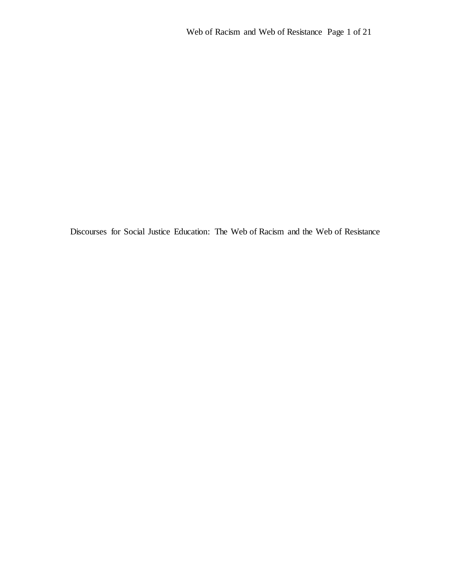Discourses for Social Justice Education: The Web of Racism and the Web of Resistance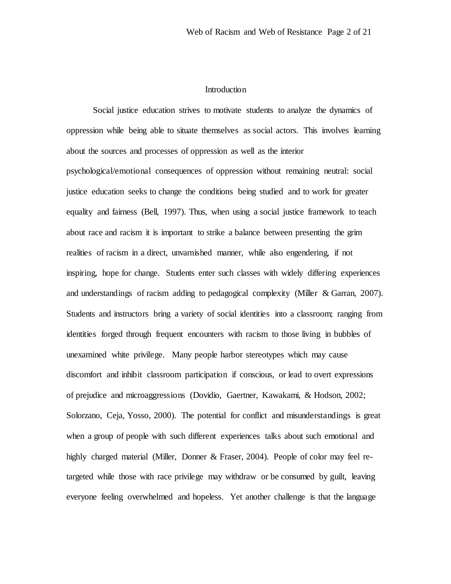## Introduction

Social justice education strives to motivate students to analyze the dynamics of oppression while being able to situate themselves as social actors. This involves learning about the sources and processes of oppression as well as the interior psychological/emotional consequences of oppression without remaining neutral: social justice education seeks to change the conditions being studied and to work for greater equality and fairness (Bell, 1997). Thus, when using a social justice framework to teach about race and racism it is important to strike a balance between presenting the grim realities of racism in a direct, unvarnished manner, while also engendering, if not inspiring, hope for change. Students enter such classes with widely differing experiences and understandings of racism adding to pedagogical complexity (Miller & Garran, 2007). Students and instructors bring a variety of social identities into a classroom; ranging from identities forged through frequent encounters with racism to those living in bubbles of unexamined white privilege. Many people harbor stereotypes which may cause discomfort and inhibit classroom participation if conscious, or lead to overt expressions of prejudice and microaggressions (Dovidio, Gaertner, Kawakami, & Hodson, 2002; Solorzano, Ceja, Yosso, 2000). The potential for conflict and misunderstandings is great when a group of people with such different experiences talks about such emotional and highly charged material (Miller, Donner & Fraser, 2004). People of color may feel retargeted while those with race privilege may withdraw or be consumed by guilt, leaving everyone feeling overwhelmed and hopeless. Yet another challenge is that the language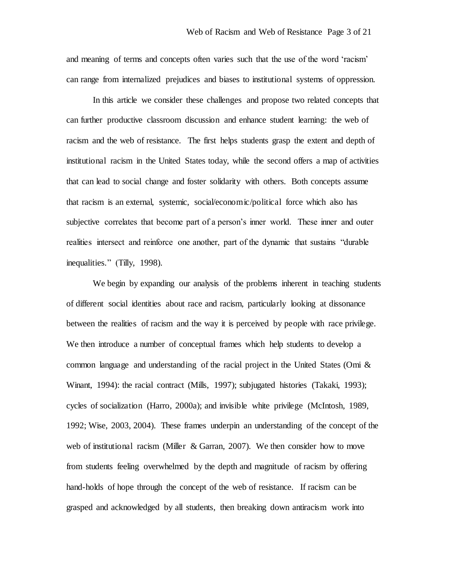and meaning of terms and concepts often varies such that the use of the word 'racism' can range from internalized prejudices and biases to institutional systems of oppression.

In this article we consider these challenges and propose two related concepts that can further productive classroom discussion and enhance student learning: the web of racism and the web of resistance. The first helps students grasp the extent and depth of institutional racism in the United States today, while the second offers a map of activities that can lead to social change and foster solidarity with others. Both concepts assume that racism is an external, systemic, social/economic/political force which also has subjective correlates that become part of a person's inner world. These inner and outer realities intersect and reinforce one another, part of the dynamic that sustains "durable inequalities." (Tilly, 1998).

We begin by expanding our analysis of the problems inherent in teaching students of different social identities about race and racism, particularly looking at dissonance between the realities of racism and the way it is perceived by people with race privilege. We then introduce a number of conceptual frames which help students to develop a common language and understanding of the racial project in the United States (Omi & Winant, 1994): the racial contract (Mills, 1997); subjugated histories (Takaki, 1993); cycles of socialization (Harro, 2000a); and invisible white privilege (McIntosh, 1989, 1992; Wise, 2003, 2004). These frames underpin an understanding of the concept of the web of institutional racism (Miller & Garran, 2007). We then consider how to move from students feeling overwhelmed by the depth and magnitude of racism by offering hand-holds of hope through the concept of the web of resistance. If racism can be grasped and acknowledged by all students, then breaking down antiracism work into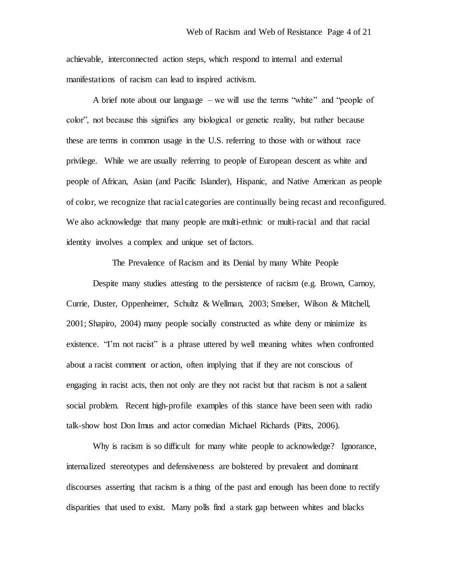achievable, interconnected action steps, which respond to internal and external manifestations of racism can lead to inspired activism.

A brief note about our language – we will use the terms "white" and "people of color", not because this signifies any biological or genetic reality, but rather because these are terms in common usage in the U.S. referring to those with or without race privilege. While we are usually referring to people of European descent as white and people of African, Asian (and Pacific Islander), Hispanic, and Native American as people of color, we recognize that racial categories are continually being recast and reconfigured. We also acknowledge that many people are multi-ethnic or multi-racial and that racial identity involves a complex and unique set of factors.

The Prevalence of Racism and its Denial by many White People

Despite many studies attesting to the persistence of racism (e.g. Brown, Carnoy, Currie, Duster, Oppenheimer, Schultz & Wellman, 2003; Smelser, Wilson & Mitchell, 2001; Shapiro, 2004) many people socially constructed as white deny or minimize its existence. "I'm not racist" is a phrase uttered by well meaning whites when confronted about a racist comment or action, often implying that if they are not conscious of engaging in racist acts, then not only are they not racist but that racism is not a salient social problem. Recent high-profile examples of this stance have been seen with radio talk-show host Don Imus and actor comedian Michael Richards (Pitts, 2006).

Why is racism is so difficult for many white people to acknowledge? Ignorance, internalized stereotypes and defensiveness are bolstered by prevalent and dominant discourses asserting that racism is a thing of the past and enough has been done to rectify disparities that used to exist. Many polls find a stark gap between whites and blacks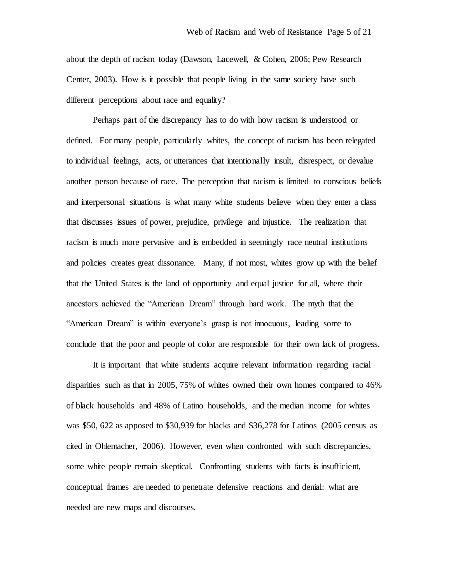about the depth of racism today (Dawson, Lacewell, & Cohen, 2006; Pew Research Center, 2003). How is it possible that people living in the same society have such different perceptions about race and equality?

Perhaps part of the discrepancy has to do with how racism is understood or defined. For many people, particularly whites, the concept of racism has been relegated to individual feelings, acts, or utterances that intentionally insult, disrespect, or devalue another person because of race. The perception that racism is limited to conscious beliefs and interpersonal situations is what many white students believe when they enter a class that discusses issues of power, prejudice, privilege and injustice. The realization that racism is much more pervasive and is embedded in seemingly race neutral institutions and policies creates great dissonance. Many, if not most, whites grow up with the belief that the United States is the land of opportunity and equal justice for all, where their ancestors achieved the "American Dream" through hard work. The myth that the "American Dream" is within everyone's grasp is not innocuous, leading some to conclude that the poor and people of color are responsible for their own lack of progress.

It is important that white students acquire relevant information regarding racial disparities such as that in 2005, 75% of whites owned their own homes compared to 46% of black households and 48% of Latino households, and the median income for whites was \$50, 622 as apposed to \$30,939 for blacks and \$36,278 for Latinos (2005 census as cited in Ohlemacher, 2006). However, even when confronted with such discrepancies, some white people remain skeptical. Confronting students with facts is insufficient, conceptual frames are needed to penetrate defensive reactions and denial: what are needed are new maps and discourses.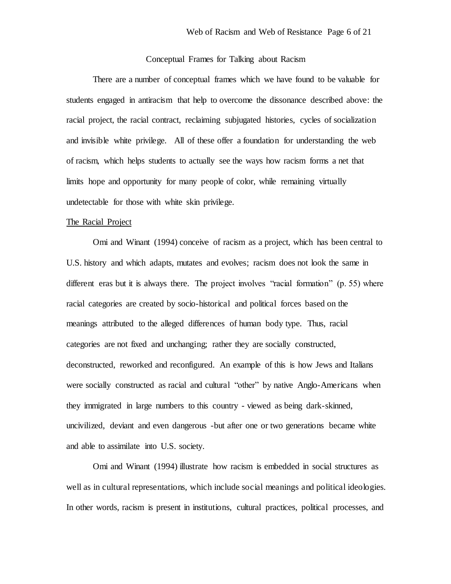# Conceptual Frames for Talking about Racism

There are a number of conceptual frames which we have found to be valuable for students engaged in antiracism that help to overcome the dissonance described above: the racial project, the racial contract, reclaiming subjugated histories, cycles of socialization and invisible white privilege. All of these offer a foundation for understanding the web of racism, which helps students to actually see the ways how racism forms a net that limits hope and opportunity for many people of color, while remaining virtually undetectable for those with white skin privilege.

#### The Racial Project

Omi and Winant (1994) conceive of racism as a project, which has been central to U.S. history and which adapts, mutates and evolves; racism does not look the same in different eras but it is always there. The project involves "racial formation" (p. 55) where racial categories are created by socio-historical and political forces based on the meanings attributed to the alleged differences of human body type. Thus, racial categories are not fixed and unchanging; rather they are socially constructed, deconstructed, reworked and reconfigured. An example of this is how Jews and Italians were socially constructed as racial and cultural "other" by native Anglo-Americans when they immigrated in large numbers to this country - viewed as being dark-skinned, uncivilized, deviant and even dangerous -but after one or two generations became white and able to assimilate into U.S. society.

Omi and Winant (1994) illustrate how racism is embedded in social structures as well as in cultural representations, which include social meanings and political ideologies. In other words, racism is present in institutions, cultural practices, political processes, and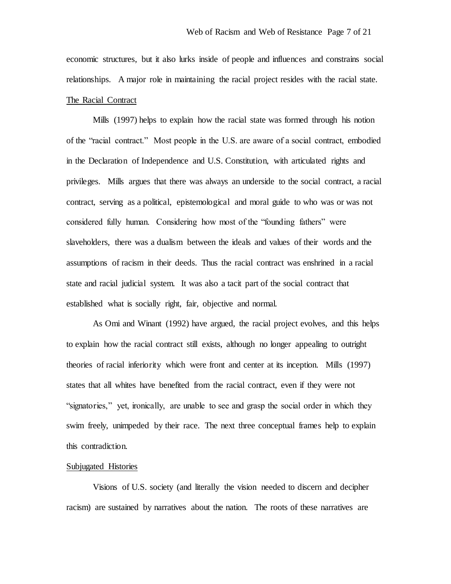economic structures, but it also lurks inside of people and influences and constrains social relationships. A major role in maintaining the racial project resides with the racial state. The Racial Contract

Mills (1997) helps to explain how the racial state was formed through his notion of the "racial contract." Most people in the U.S. are aware of a social contract, embodied in the Declaration of Independence and U.S. Constitution, with articulated rights and privileges. Mills argues that there was always an underside to the social contract, a racial contract, serving as a political, epistemological and moral guide to who was or was not considered fully human. Considering how most of the "founding fathers" were slaveholders, there was a dualism between the ideals and values of their words and the assumptions of racism in their deeds. Thus the racial contract was enshrined in a racial state and racial judicial system. It was also a tacit part of the social contract that established what is socially right, fair, objective and normal.

As Omi and Winant (1992) have argued, the racial project evolves, and this helps to explain how the racial contract still exists, although no longer appealing to outright theories of racial inferiority which were front and center at its inception. Mills (1997) states that all whites have benefited from the racial contract, even if they were not "signatories," yet, ironically, are unable to see and grasp the social order in which they swim freely, unimpeded by their race. The next three conceptual frames help to explain this contradiction.

#### Subjugated Histories

Visions of U.S. society (and literally the vision needed to discern and decipher racism) are sustained by narratives about the nation. The roots of these narratives are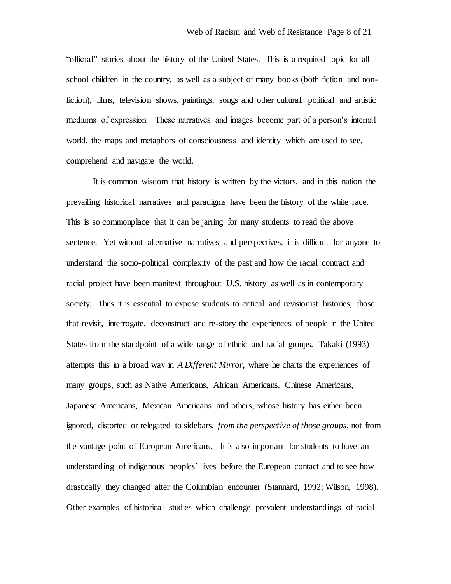"official" stories about the history of the United States. This is a required topic for all school children in the country, as well as a subject of many books (both fiction and nonfiction), films, television shows, paintings, songs and other cultural, political and artistic mediums of expression. These narratives and images become part of a person's internal world, the maps and metaphors of consciousness and identity which are used to see, comprehend and navigate the world.

It is common wisdom that history is written by the victors, and in this nation the prevailing historical narratives and paradigms have been the history of the white race. This is so commonplace that it can be jarring for many students to read the above sentence. Yet without alternative narratives and perspectives, it is difficult for anyone to understand the socio-political complexity of the past and how the racial contract and racial project have been manifest throughout U.S. history as well as in contemporary society. Thus it is essential to expose students to critical and revisionist histories, those that revisit, interrogate, deconstruct and re-story the experiences of people in the United States from the standpoint of a wide range of ethnic and racial groups. Takaki (1993) attempts this in a broad way in *A Different Mirror*, where he charts the experiences of many groups, such as Native Americans, African Americans, Chinese Americans, Japanese Americans, Mexican Americans and others, whose history has either been ignored, distorted or relegated to sidebars, *from the perspective of those groups*, not from the vantage point of European Americans. It is also important for students to have an understanding of indigenous peoples' lives before the European contact and to see how drastically they changed after the Columbian encounter (Stannard, 1992; Wilson, 1998). Other examples of historical studies which challenge prevalent understandings of racial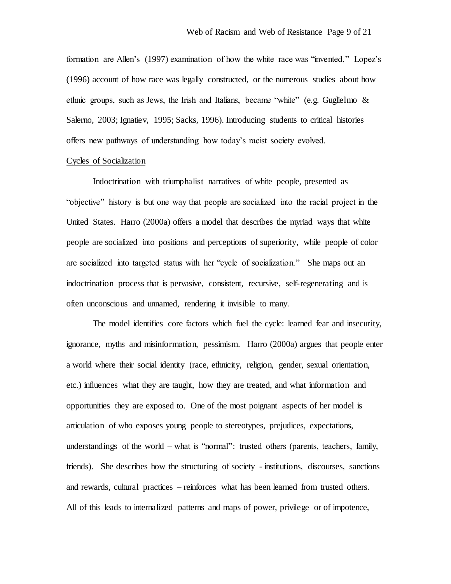formation are Allen's (1997) examination of how the white race was "invented," Lopez's (1996) account of how race was legally constructed, or the numerous studies about how ethnic groups, such as Jews, the Irish and Italians, became "white" (e.g. Guglielmo  $\&$ Salerno, 2003; Ignatiev, 1995; Sacks, 1996). Introducing students to critical histories offers new pathways of understanding how today's racist society evolved.

#### Cycles of Socialization

Indoctrination with triumphalist narratives of white people, presented as "objective" history is but one way that people are socialized into the racial project in the United States. Harro (2000a) offers a model that describes the myriad ways that white people are socialized into positions and perceptions of superiority, while people of color are socialized into targeted status with her "cycle of socialization." She maps out an indoctrination process that is pervasive, consistent, recursive, self-regenerating and is often unconscious and unnamed, rendering it invisible to many.

The model identifies core factors which fuel the cycle: learned fear and insecurity, ignorance, myths and misinformation, pessimism. Harro (2000a) argues that people enter a world where their social identity (race, ethnicity, religion, gender, sexual orientation, etc.) influences what they are taught, how they are treated, and what information and opportunities they are exposed to. One of the most poignant aspects of her model is articulation of who exposes young people to stereotypes, prejudices, expectations, understandings of the world – what is "normal": trusted others (parents, teachers, family, friends). She describes how the structuring of society - institutions, discourses, sanctions and rewards, cultural practices – reinforces what has been learned from trusted others. All of this leads to internalized patterns and maps of power, privilege or of impotence,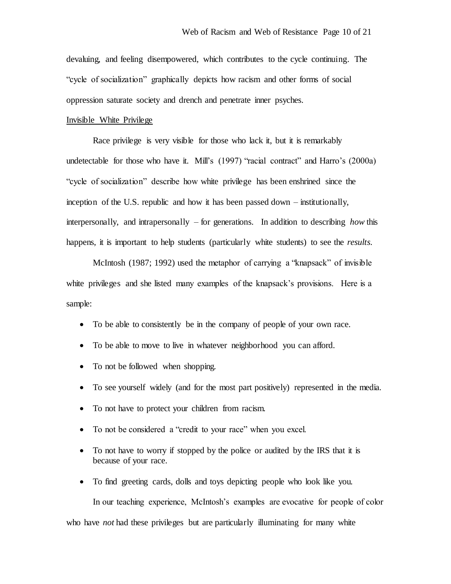devaluing, and feeling disempowered, which contributes to the cycle continuing. The "cycle of socialization" graphically depicts how racism and other forms of social oppression saturate society and drench and penetrate inner psyches.

#### Invisible White Privilege

Race privilege is very visible for those who lack it, but it is remarkably undetectable for those who have it. Mill's (1997) "racial contract" and Harro's (2000a) "cycle of socialization" describe how white privilege has been enshrined since the inception of the U.S. republic and how it has been passed down – institutionally, interpersonally, and intrapersonally – for generations. In addition to describing *how* this happens, it is important to help students (particularly white students) to see the *results.*

McIntosh (1987; 1992) used the metaphor of carrying a "knapsack" of invisible white privileges and she listed many examples of the knapsack's provisions. Here is a sample:

- To be able to consistently be in the company of people of your own race.
- To be able to move to live in whatever neighborhood you can afford.
- To not be followed when shopping.
- To see yourself widely (and for the most part positively) represented in the media.
- To not have to protect your children from racism.
- To not be considered a "credit to your race" when you excel.
- To not have to worry if stopped by the police or audited by the IRS that it is because of your race.
- To find greeting cards, dolls and toys depicting people who look like you.

In our teaching experience, McIntosh's examples are evocative for people of color who have *not* had these privileges but are particularly illuminating for many white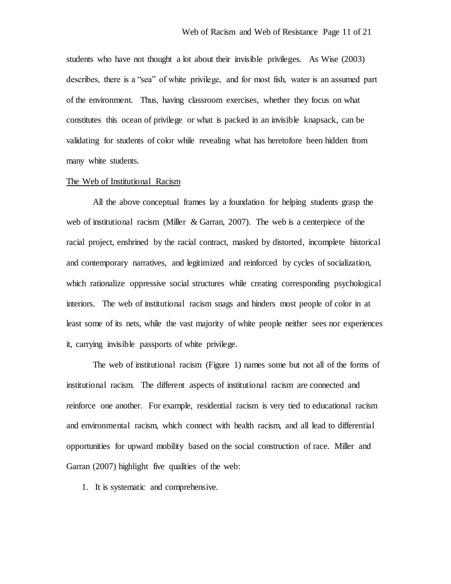students who have not thought a lot about their invisible privileges. As Wise (2003) describes, there is a "sea" of white privilege, and for most fish, water is an assumed part of the environment. Thus, having classroom exercises, whether they focus on what constitutes this ocean of privilege or what is packed in an invisible knapsack, can be validating for students of color while revealing what has heretofore been hidden from many white students.

#### The Web of Institutional Racism

All the above conceptual frames lay a foundation for helping students grasp the web of institutional racism (Miller & Garran, 2007). The web is a centerpiece of the racial project, enshrined by the racial contract, masked by distorted, incomplete historical and contemporary narratives, and legitimized and reinforced by cycles of socialization, which rationalize oppressive social structures while creating corresponding psychological interiors. The web of institutional racism snags and hinders most people of color in at least some of its nets, while the vast majority of white people neither sees nor experiences it, carrying invisible passports of white privilege.

The web of institutional racism (Figure 1) names some but not all of the forms of institutional racism. The different aspects of institutional racism are connected and reinforce one another. For example, residential racism is very tied to educational racism and environmental racism, which connect with health racism, and all lead to differential opportunities for upward mobility based on the social construction of race. Miller and Garran (2007) highlight five qualities of the web:

1. It is systematic and comprehensive.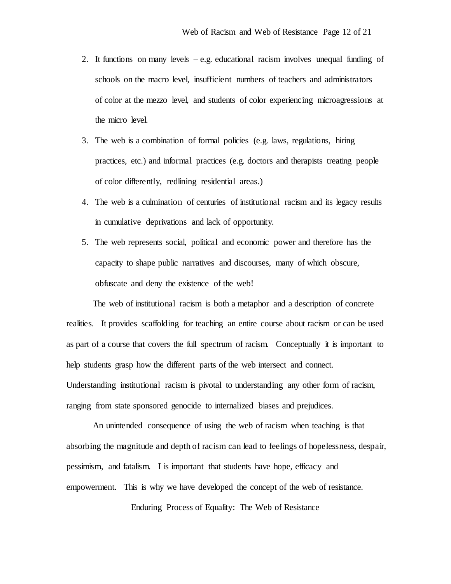- 2. It functions on many levels e.g. educational racism involves unequal funding of schools on the macro level, insufficient numbers of teachers and administrators of color at the mezzo level, and students of color experiencing microagressions at the micro level.
- 3. The web is a combination of formal policies (e.g. laws, regulations, hiring practices, etc.) and informal practices (e.g. doctors and therapists treating people of color differently, redlining residential areas.)
- 4. The web is a culmination of centuries of institutional racism and its legacy results in cumulative deprivations and lack of opportunity.
- 5. The web represents social, political and economic power and therefore has the capacity to shape public narratives and discourses, many of which obscure, obfuscate and deny the existence of the web!

The web of institutional racism is both a metaphor and a description of concrete realities. It provides scaffolding for teaching an entire course about racism or can be used as part of a course that covers the full spectrum of racism. Conceptually it is important to help students grasp how the different parts of the web intersect and connect. Understanding institutional racism is pivotal to understanding any other form of racism, ranging from state sponsored genocide to internalized biases and prejudices.

An unintended consequence of using the web of racism when teaching is that absorbing the magnitude and depth of racism can lead to feelings of hopelessness, despair, pessimism, and fatalism. I is important that students have hope, efficacy and empowerment. This is why we have developed the concept of the web of resistance.

Enduring Process of Equality: The Web of Resistance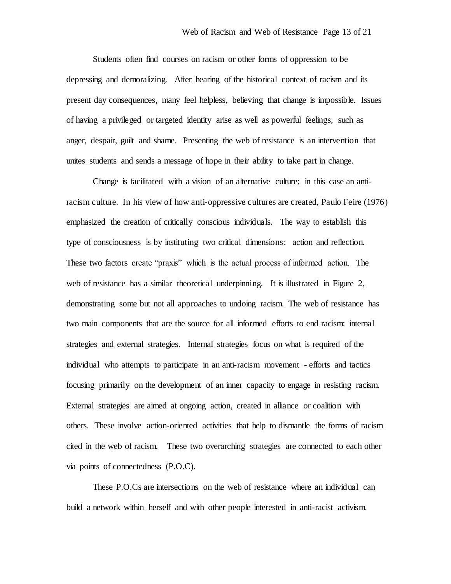Students often find courses on racism or other forms of oppression to be depressing and demoralizing. After hearing of the historical context of racism and its present day consequences, many feel helpless, believing that change is impossible. Issues of having a privileged or targeted identity arise as well as powerful feelings, such as anger, despair, guilt and shame. Presenting the web of resistance is an intervention that unites students and sends a message of hope in their ability to take part in change.

Change is facilitated with a vision of an alternative culture; in this case an antiracism culture. In his view of how anti-oppressive cultures are created, Paulo Feire (1976) emphasized the creation of critically conscious individuals. The way to establish this type of consciousness is by instituting two critical dimensions: action and reflection. These two factors create "praxis" which is the actual process of informed action. The web of resistance has a similar theoretical underpinning. It is illustrated in Figure 2, demonstrating some but not all approaches to undoing racism. The web of resistance has two main components that are the source for all informed efforts to end racism: internal strategies and external strategies. Internal strategies focus on what is required of the individual who attempts to participate in an anti-racism movement - efforts and tactics focusing primarily on the development of an inner capacity to engage in resisting racism. External strategies are aimed at ongoing action, created in alliance or coalition with others. These involve action-oriented activities that help to dismantle the forms of racism cited in the web of racism. These two overarching strategies are connected to each other via points of connectedness (P.O.C).

These P.O.Cs are intersections on the web of resistance where an individual can build a network within herself and with other people interested in anti-racist activism.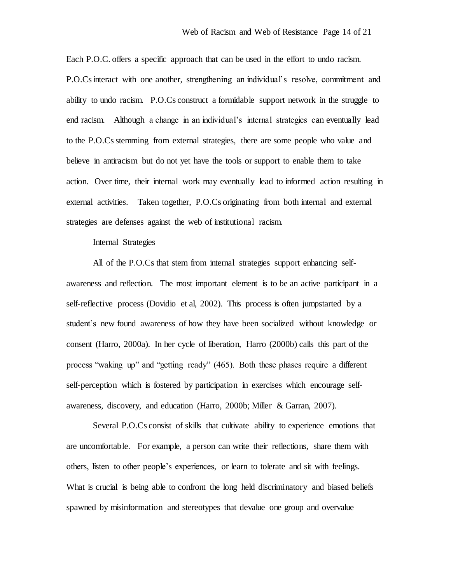Each P.O.C. offers a specific approach that can be used in the effort to undo racism. P.O.Cs interact with one another, strengthening an individual's resolve, commitment and ability to undo racism. P.O.Cs construct a formidable support network in the struggle to end racism. Although a change in an individual's internal strategies can eventually lead to the P.O.Cs stemming from external strategies, there are some people who value and believe in antiracism but do not yet have the tools or support to enable them to take action. Over time, their internal work may eventually lead to informed action resulting in external activities. Taken together, P.O.Cs originating from both internal and external strategies are defenses against the web of institutional racism.

Internal Strategies

All of the P.O.Cs that stem from internal strategies support enhancing selfawareness and reflection. The most important element is to be an active participant in a self-reflective process (Dovidio et al, 2002). This process is often jumpstarted by a student's new found awareness of how they have been socialized without knowledge or consent (Harro, 2000a). In her cycle of liberation, Harro (2000b) calls this part of the process "waking up" and "getting ready" (465). Both these phases require a different self-perception which is fostered by participation in exercises which encourage selfawareness, discovery, and education (Harro, 2000b; Miller & Garran, 2007).

Several P.O.Cs consist of skills that cultivate ability to experience emotions that are uncomfortable. For example, a person can write their reflections, share them with others, listen to other people's experiences, or learn to tolerate and sit with feelings. What is crucial is being able to confront the long held discriminatory and biased beliefs spawned by misinformation and stereotypes that devalue one group and overvalue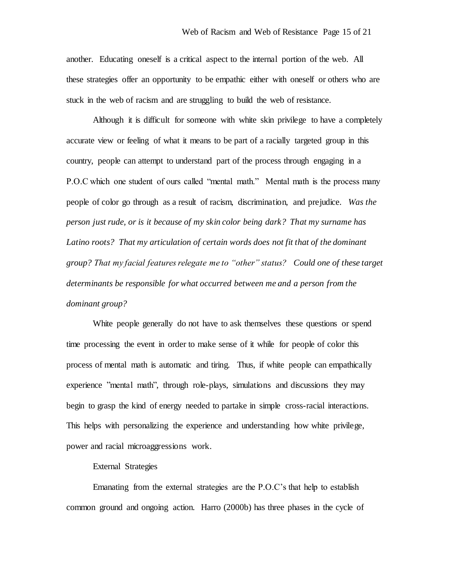another. Educating oneself is a critical aspect to the internal portion of the web. All these strategies offer an opportunity to be empathic either with oneself or others who are stuck in the web of racism and are struggling to build the web of resistance.

Although it is difficult for someone with white skin privilege to have a completely accurate view or feeling of what it means to be part of a racially targeted group in this country, people can attempt to understand part of the process through engaging in a P.O.C which one student of ours called "mental math." Mental math is the process many people of color go through as a result of racism, discrimination, and prejudice. *Was the person just rude, or is it because of my skin color being dark? That my surname has*  Latino roots? That my articulation of certain words does not fit that of the dominant *group? That my facial features relegate me to "other" status? Could one of these target determinants be responsible for what occurred between me and a person from the dominant group?*

White people generally do not have to ask themselves these questions or spend time processing the event in order to make sense of it while for people of color this process of mental math is automatic and tiring. Thus, if white people can empathically experience "mental math", through role-plays, simulations and discussions they may begin to grasp the kind of energy needed to partake in simple cross-racial interactions. This helps with personalizing the experience and understanding how white privilege, power and racial microaggressions work.

External Strategies

Emanating from the external strategies are the P.O.C's that help to establish common ground and ongoing action. Harro (2000b) has three phases in the cycle of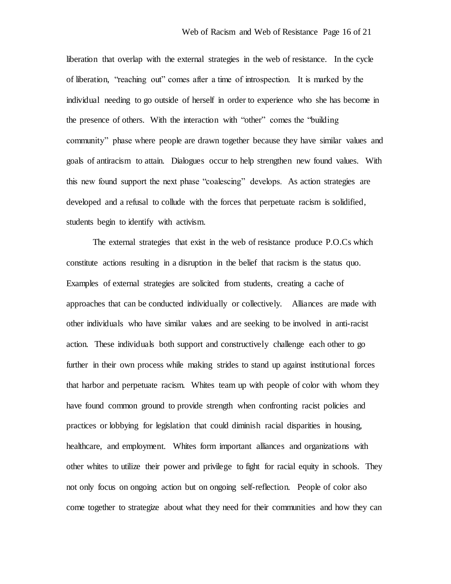liberation that overlap with the external strategies in the web of resistance. In the cycle of liberation, "reaching out" comes after a time of introspection. It is marked by the individual needing to go outside of herself in order to experience who she has become in the presence of others. With the interaction with "other" comes the "building community" phase where people are drawn together because they have similar values and goals of antiracism to attain. Dialogues occur to help strengthen new found values. With this new found support the next phase "coalescing" develops. As action strategies are developed and a refusal to collude with the forces that perpetuate racism is solidified, students begin to identify with activism.

The external strategies that exist in the web of resistance produce P.O.Cs which constitute actions resulting in a disruption in the belief that racism is the status quo. Examples of external strategies are solicited from students, creating a cache of approaches that can be conducted individually or collectively. Alliances are made with other individuals who have similar values and are seeking to be involved in anti-racist action. These individuals both support and constructively challenge each other to go further in their own process while making strides to stand up against institutional forces that harbor and perpetuate racism. Whites team up with people of color with whom they have found common ground to provide strength when confronting racist policies and practices or lobbying for legislation that could diminish racial disparities in housing, healthcare, and employment. Whites form important alliances and organizations with other whites to utilize their power and privilege to fight for racial equity in schools. They not only focus on ongoing action but on ongoing self-reflection. People of color also come together to strategize about what they need for their communities and how they can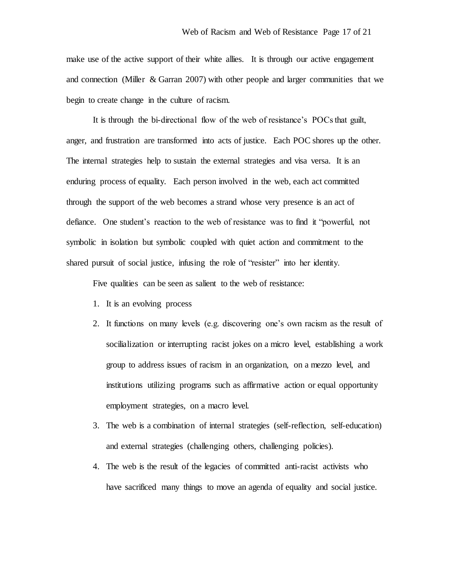make use of the active support of their white allies. It is through our active engagement and connection (Miller & Garran 2007) with other people and larger communities that we begin to create change in the culture of racism.

It is through the bi-directional flow of the web of resistance's POCs that guilt, anger, and frustration are transformed into acts of justice. Each POC shores up the other. The internal strategies help to sustain the external strategies and visa versa. It is an enduring process of equality. Each person involved in the web, each act committed through the support of the web becomes a strand whose very presence is an act of defiance. One student's reaction to the web of resistance was to find it "powerful, not symbolic in isolation but symbolic coupled with quiet action and commitment to the shared pursuit of social justice, infusing the role of "resister" into her identity.

Five qualities can be seen as salient to the web of resistance:

- 1. It is an evolving process
- 2. It functions on many levels (e.g. discovering one's own racism as the result of socilialization or interrupting racist jokes on a micro level, establishing a work group to address issues of racism in an organization, on a mezzo level, and institutions utilizing programs such as affirmative action or equal opportunity employment strategies, on a macro level.
- 3. The web is a combination of internal strategies (self-reflection, self-education) and external strategies (challenging others, challenging policies).
- 4. The web is the result of the legacies of committed anti-racist activists who have sacrificed many things to move an agenda of equality and social justice.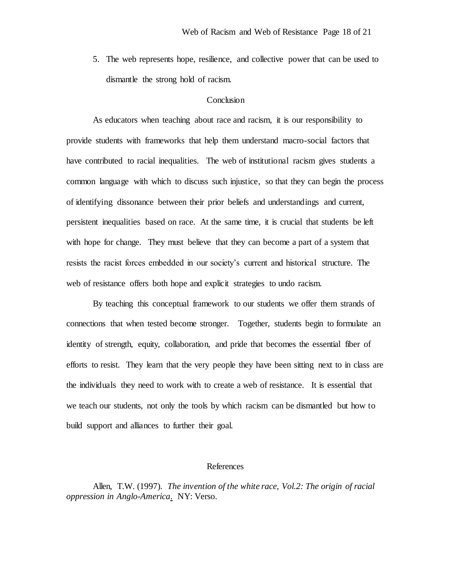5. The web represents hope, resilience, and collective power that can be used to dismantle the strong hold of racism.

## **Conclusion**

As educators when teaching about race and racism, it is our responsibility to provide students with frameworks that help them understand macro-social factors that have contributed to racial inequalities. The web of institutional racism gives students a common language with which to discuss such injustice, so that they can begin the process of identifying dissonance between their prior beliefs and understandings and current, persistent inequalities based on race. At the same time, it is crucial that students be left with hope for change. They must believe that they can become a part of a system that resists the racist forces embedded in our society's current and historical structure. The web of resistance offers both hope and explicit strategies to undo racism.

By teaching this conceptual framework to our students we offer them strands of connections that when tested become stronger. Together, students begin to formulate an identity of strength, equity, collaboration, and pride that becomes the essential fiber of efforts to resist. They learn that the very people they have been sitting next to in class are the individuals they need to work with to create a web of resistance. It is essential that we teach our students, not only the tools by which racism can be dismantled but how to build support and alliances to further their goal.

#### References

Allen, T.W. (1997). *The invention of the white race, Vol.2: The origin of racial oppression in Anglo-America*. NY: Verso.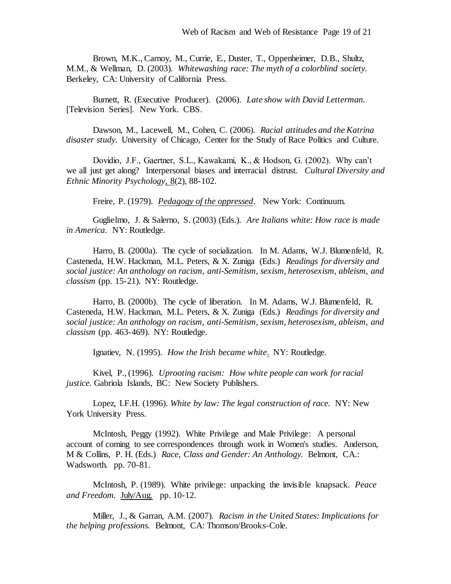Brown, M.K., Carnoy, M., Currie, E., Duster, T., Oppenheimer, D.B., Shultz, M.M., & Wellman, D. (2003). *Whitewashing race: The myth of a colorblind society.* Berkeley, CA: University of California Press.

Burnett, R. (Executive Producer). (2006). *Late show with David Letterman.* [Television Series]. New York. CBS.

Dawson, M., Lacewell, M., Cohen, C. (2006). *Racial attitudes and the Katrina disaster study.* University of Chicago, Center for the Study of Race Politics and Culture.

Dovidio, J.F., Gaertner, S.L., Kawakami, K., & Hodson, G. (2002). Why can't we all just get along? Interpersonal biases and interracial distrust. *Cultural Diversity and Ethnic Minority Psychology*, 8(2), 88-102.

Freire, P. (1979). *Pedagogy of the oppressed*. New York: Continuum.

Guglielmo, J. & Salerno, S. (2003) (Eds.). *Are Italians white: How race is made in America.* NY: Routledge.

Harro, B. (2000a). The cycle of socialization. In M. Adams, W.J. Blumenfeld, R. Casteneda, H.W. Hackman, M.L. Peters, & X. Zuniga (Eds.) *Readings for diversity and social justice: An anthology on racism, anti-Semitism, sexism, heterosexism, ableism, and classism* (pp. 15-21). NY: Routledge.

Harro, B. (2000b). The cycle of liberation. In M. Adams, W.J. Blumenfeld, R. Casteneda, H.W. Hackman, M.L. Peters, & X. Zuniga (Eds.) *Readings for diversity and social justice: An anthology on racism, anti-Semitism, sexism, heterosexism, ableism, and classism* (pp. 463-469). NY: Routledge.

Ignatiev, N. (1995). *How the Irish became white*. NY: Routledge.

Kivel, P., (1996). *Uprooting racism: How white people can work for racial justice.* Gabriola Islands, BC: New Society Publishers.

Lopez, I.F.H. (1996). *White by law: The legal construction of race.* NY: New York University Press.

McIntosh, Peggy (1992). White Privilege and Male Privilege: A personal account of coming to see correspondences through work in Women's studies. Anderson, M & Collins, P. H. (Eds.) *Race, Class and Gender: An Anthology.* Belmont, CA.: Wadsworth. pp. 70-81.

McIntosh, P. (1989). White privilege: unpacking the invisible knapsack. *Peace and Freedom.* July/Aug. pp. 10-12.

Miller, J., & Garran, A.M. (2007). *Racism in the United States: Implications for the helping professions.* Belmont, CA: Thomson/Brooks-Cole.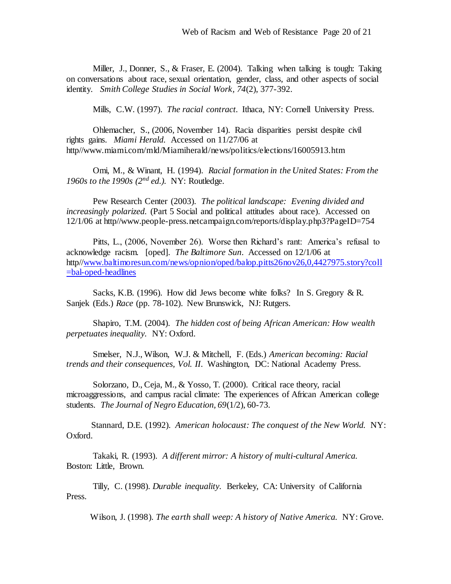Miller, J., Donner, S., & Fraser, E. (2004). Talking when talking is tough: Taking on conversations about race, sexual orientation, gender, class, and other aspects of social identity. *Smith College Studies in Social Work, 74*(2), 377-392.

Mills, C.W. (1997). *The racial contract.* Ithaca, NY: Cornell University Press.

Ohlemacher, S., (2006, November 14). Racia disparities persist despite civil rights gains. *Miami Herald.* Accessed on 11/27/06 at http//www.miami.com/mld/Miamiherald/news/politics/elections/16005913.htm

Omi, M., & Winant, H. (1994). *Racial formation in the United States: From the 1960s to the 1990s (2nd ed.).* NY: Routledge.

Pew Research Center (2003). *The political landscape: Evening divided and increasingly polarized.* (Part 5 Social and political attitudes about race). Accessed on 12/1/06 at http//www.people-press.netcampaign.com/reports/display.php3?PageID=754

Pitts, L., (2006, November 26). Worse then Richard's rant: America's refusal to acknowledge racism. [oped]. *The Baltimore Sun*. Accessed on 12/1/06 at http/[/www.baltimoresun.com/news/opnion/oped/balop.pitts26nov26,0,4427975.story?coll](http://www.baltimoresun.com/news/opnion/oped/balop.pitts26nov26,0,4427975.story?coll=bal-oped-headlines) [=bal-oped-headlines](http://www.baltimoresun.com/news/opnion/oped/balop.pitts26nov26,0,4427975.story?coll=bal-oped-headlines)

Sacks, K.B. (1996). How did Jews become white folks? In S. Gregory & R. Sanjek (Eds.) *Race* (pp. 78-102). New Brunswick, NJ: Rutgers.

Shapiro, T.M. (2004). *The hidden cost of being African American: How wealth perpetuates inequality.* NY: Oxford.

Smelser, N.J., Wilson, W.J. & Mitchell, F. (Eds.) *American becoming: Racial trends and their consequences, Vol. II*. Washington, DC: National Academy Press.

Solorzano, D., Ceja, M., & Yosso, T. (2000). Critical race theory, racial microaggressions, and campus racial climate: The experiences of African American college students. *The Journal of Negro Education, 69*(1/2), 60-73.

Stannard, D.E. (1992). *American holocaust: The conquest of the New World.* NY: Oxford.

Takaki, R. (1993). *A different mirror: A history of multi-cultural America.* Boston: Little, Brown.

Tilly, C. (1998). *Durable inequality.* Berkeley, CA: University of California Press.

Wilson, J. (1998). *The earth shall weep: A history of Native America.* NY: Grove.